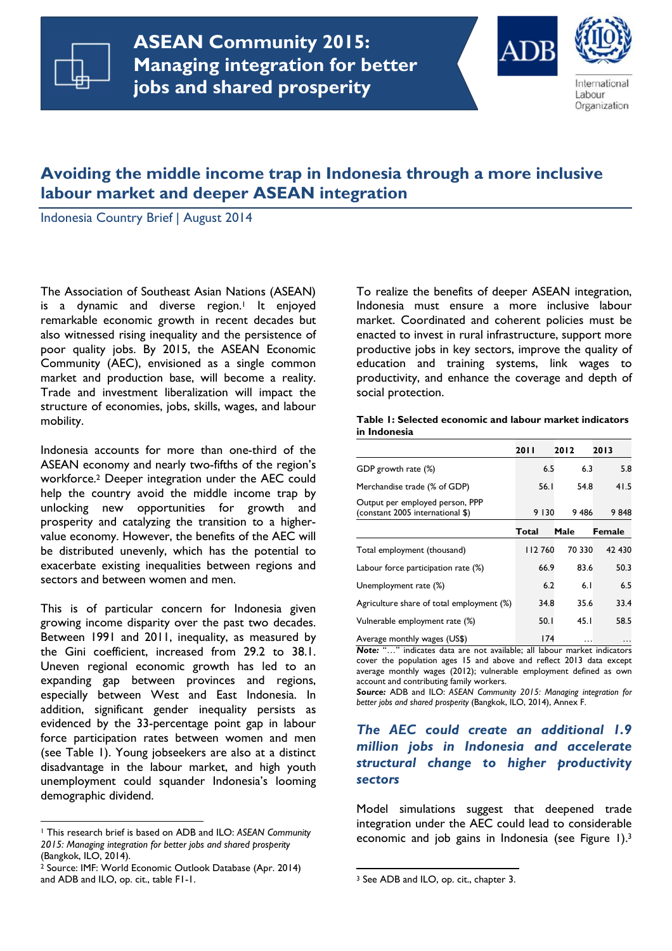

**ASEAN Community 2015: Managing integration for Managing integration for better better jobs and shared prosperity jobs and shared prosperityASEAN Community 2015:** 





International Labour Organization

# **Avoiding the middle income trap in Indonesia through a more inclusive labour market and deeper ASEAN integration**

Indonesia Country Brief | August 2014

The Association of Southeast Asian Nations (ASEAN) is a dynamic and diverse region.<sup>1</sup> It enjoyed remarkable economic growth in recent decades but also witnessed rising inequality and the persistence of poor quality jobs. By 2015, the ASEAN Economic Community (AEC), envisioned as a single common market and production base, will become a reality. Trade and investment liberalization will impact the structure of economies, jobs, skills, wages, and labour mobility.

Indonesia accounts for more than one-third of the ASEAN economy and nearly two-fifths of the region's workforce.2 Deeper integration under the AEC could help the country avoid the middle income trap by unlocking new opportunities for growth and prosperity and catalyzing the transition to a highervalue economy. However, the benefits of the AEC will be distributed unevenly, which has the potential to exacerbate existing inequalities between regions and sectors and between women and men.

This is of particular concern for Indonesia given growing income disparity over the past two decades. Between 1991 and 2011, inequality, as measured by the Gini coefficient, increased from 29.2 to 38.1. Uneven regional economic growth has led to an expanding gap between provinces and regions, especially between West and East Indonesia. In addition, significant gender inequality persists as evidenced by the 33-percentage point gap in labour force participation rates between women and men (see Table 1). Young jobseekers are also at a distinct disadvantage in the labour market, and high youth unemployment could squander Indonesia's looming demographic dividend.

l

To realize the benefits of deeper ASEAN integration, Indonesia must ensure a more inclusive labour market. Coordinated and coherent policies must be enacted to invest in rural infrastructure, support more productive jobs in key sectors, improve the quality of education and training systems, link wages to productivity, and enhance the coverage and depth of social protection.

#### **Table 1: Selected economic and labour market indicators in Indonesia**

|                                                                     | 20 I I  | 2012   | 2013                |
|---------------------------------------------------------------------|---------|--------|---------------------|
| GDP growth rate (%)                                                 | 6.5     | 6.3    | 5.8                 |
| Merchandise trade (% of GDP)                                        | 56.I    | 54.8   | 41.5                |
| Output per employed person, PPP<br>(constant 2005 international \$) | 9 1 3 0 | 9486   | 9848                |
|                                                                     | Total   | Male   | <b>Female</b>       |
| Total employment (thousand)                                         | 112760  | 70 330 | 42 430              |
| Labour force participation rate (%)                                 | 66.9    | 83.6   | 50.3                |
| Unemployment rate (%)                                               | 6.2     | 6.1    | 6.5                 |
| Agriculture share of total employment (%)                           | 34.8    | 35.6   | 33.4                |
| Vulnerable employment rate (%)                                      | 50.1    | 45.1   | 58.5                |
| Average monthly wages (US\$)                                        | 174     | .      | $\cdot \cdot \cdot$ |

*Note:* "…" indicates data are not available; all labour market indicators cover the population ages 15 and above and reflect 2013 data except average monthly wages (2012); vulnerable employment defined as own account and contributing family workers.

*Source:* ADB and ILO: *ASEAN Community 2015: Managing integration for better jobs and shared prosperity* (Bangkok, ILO, 2014), Annex F.

# *The AEC could create an additional 1.9 million jobs in Indonesia and accelerate structural change to higher productivity sectors*

Model simulations suggest that deepened trade integration under the AEC could lead to considerable economic and job gains in Indonesia (see Figure 1).<sup>3</sup>

l

<sup>1</sup> This research brief is based on ADB and ILO: *ASEAN Community 2015: Managing integration for better jobs and shared prosperity*  (Bangkok, ILO, 2014).

<sup>2</sup> Source: IMF: World Economic Outlook Database (Apr. 2014) and ADB and ILO, op. cit., table F1-1.

<sup>3</sup> See ADB and ILO, op. cit., chapter 3.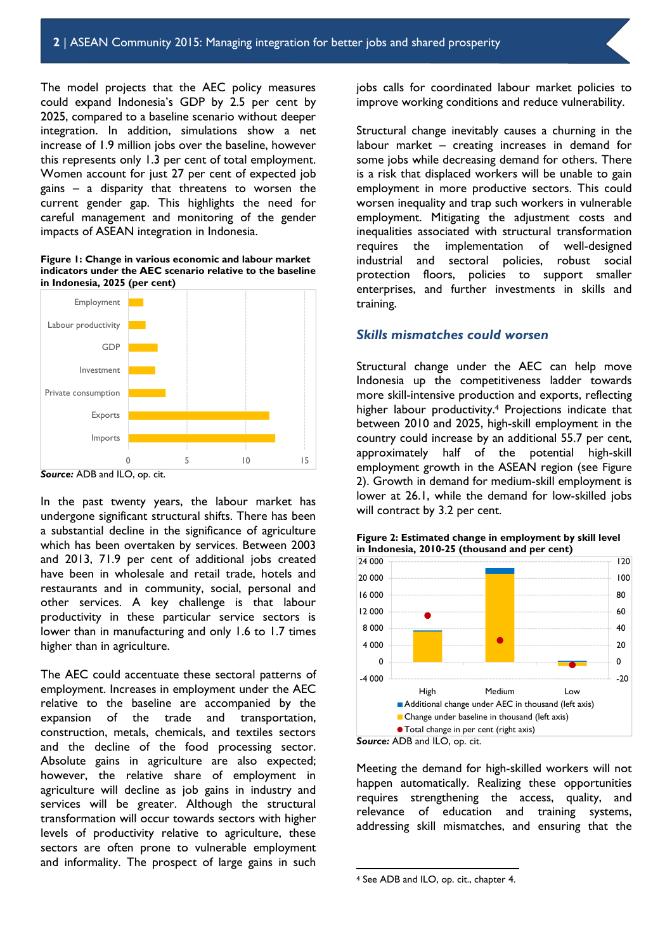The model projects that the AEC policy measures could expand Indonesia's GDP by 2.5 per cent by 2025, compared to a baseline scenario without deeper integration. In addition, simulations show a net increase of 1.9 million jobs over the baseline, however this represents only 1.3 per cent of total employment. Women account for just 27 per cent of expected job gains – a disparity that threatens to worsen the current gender gap. This highlights the need for careful management and monitoring of the gender impacts of ASEAN integration in Indonesia.

**Figure 1: Change in various economic and labour market indicators under the AEC scenario relative to the baseline in Indonesia, 2025 (per cent)** 



*Source:* ADB and ILO, op. cit.

In the past twenty years, the labour market has undergone significant structural shifts. There has been a substantial decline in the significance of agriculture which has been overtaken by services. Between 2003 and 2013, 71.9 per cent of additional jobs created have been in wholesale and retail trade, hotels and restaurants and in community, social, personal and other services. A key challenge is that labour productivity in these particular service sectors is lower than in manufacturing and only 1.6 to 1.7 times higher than in agriculture.

The AEC could accentuate these sectoral patterns of employment. Increases in employment under the AEC relative to the baseline are accompanied by the expansion of the trade and transportation, construction, metals, chemicals, and textiles sectors and the decline of the food processing sector. Absolute gains in agriculture are also expected; however, the relative share of employment in agriculture will decline as job gains in industry and services will be greater. Although the structural transformation will occur towards sectors with higher levels of productivity relative to agriculture, these sectors are often prone to vulnerable employment and informality. The prospect of large gains in such

jobs calls for coordinated labour market policies to improve working conditions and reduce vulnerability.

Structural change inevitably causes a churning in the labour market – creating increases in demand for some jobs while decreasing demand for others. There is a risk that displaced workers will be unable to gain employment in more productive sectors. This could worsen inequality and trap such workers in vulnerable employment. Mitigating the adjustment costs and inequalities associated with structural transformation requires the implementation of well-designed industrial and sectoral policies, robust social protection floors, policies to support smaller enterprises, and further investments in skills and training.

#### *Skills mismatches could worsen*

Structural change under the AEC can help move Indonesia up the competitiveness ladder towards more skill-intensive production and exports, reflecting higher labour productivity.4 Projections indicate that between 2010 and 2025, high-skill employment in the country could increase by an additional 55.7 per cent, approximately half of the potential high-skill employment growth in the ASEAN region (see Figure 2). Growth in demand for medium-skill employment is lower at 26.1, while the demand for low-skilled jobs will contract by 3.2 per cent.



Meeting the demand for high-skilled workers will not happen automatically. Realizing these opportunities requires strengthening the access, quality, and relevance of education and training systems, addressing skill mismatches, and ensuring that the

l

**Figure 2: Estimated change in employment by skill level in Indonesia, 2010-25 (thousand and per cent)** 

<sup>4</sup> See ADB and ILO, op. cit., chapter 4.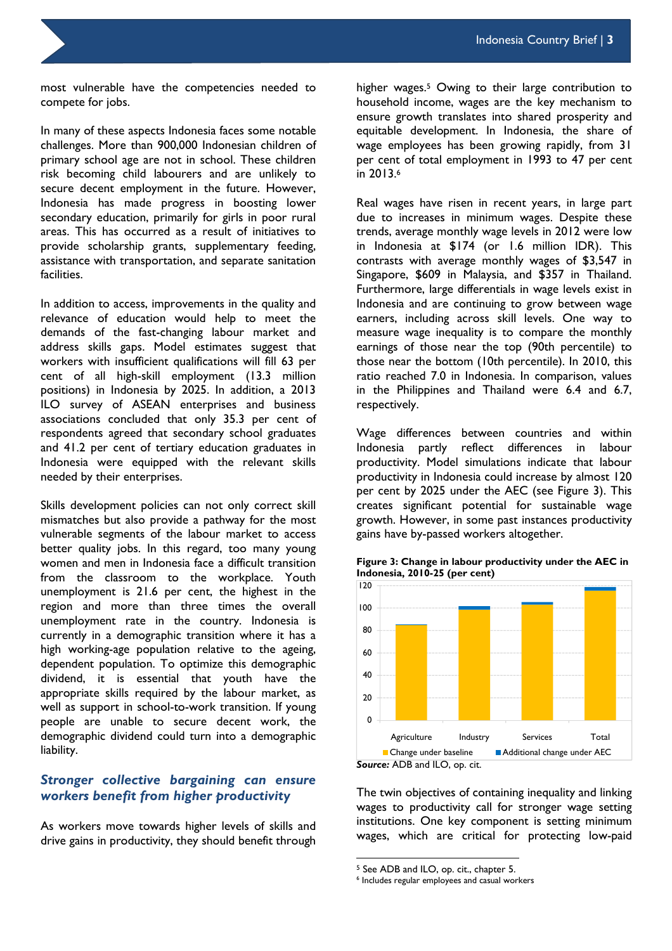most vulnerable have the competencies needed to compete for jobs.

In many of these aspects Indonesia faces some notable challenges. More than 900,000 Indonesian children of primary school age are not in school. These children risk becoming child labourers and are unlikely to secure decent employment in the future. However, Indonesia has made progress in boosting lower secondary education, primarily for girls in poor rural areas. This has occurred as a result of initiatives to provide scholarship grants, supplementary feeding, assistance with transportation, and separate sanitation facilities.

In addition to access, improvements in the quality and relevance of education would help to meet the demands of the fast-changing labour market and address skills gaps. Model estimates suggest that workers with insufficient qualifications will fill 63 per cent of all high-skill employment (13.3 million positions) in Indonesia by 2025. In addition, a 2013 ILO survey of ASEAN enterprises and business associations concluded that only 35.3 per cent of respondents agreed that secondary school graduates and 41.2 per cent of tertiary education graduates in Indonesia were equipped with the relevant skills needed by their enterprises.

Skills development policies can not only correct skill mismatches but also provide a pathway for the most vulnerable segments of the labour market to access better quality jobs. In this regard, too many young women and men in Indonesia face a difficult transition from the classroom to the workplace. Youth unemployment is 21.6 per cent, the highest in the region and more than three times the overall unemployment rate in the country. Indonesia is currently in a demographic transition where it has a high working-age population relative to the ageing, dependent population. To optimize this demographic dividend, it is essential that youth have the appropriate skills required by the labour market, as well as support in school-to-work transition. If young people are unable to secure decent work, the demographic dividend could turn into a demographic liability.

# *Stronger collective bargaining can ensure workers benefit from higher productivity*

As workers move towards higher levels of skills and drive gains in productivity, they should benefit through higher wages.<sup>5</sup> Owing to their large contribution to household income, wages are the key mechanism to ensure growth translates into shared prosperity and equitable development. In Indonesia, the share of wage employees has been growing rapidly, from 31 per cent of total employment in 1993 to 47 per cent in 2013.<sup>6</sup>

Real wages have risen in recent years, in large part due to increases in minimum wages. Despite these trends, average monthly wage levels in 2012 were low in Indonesia at \$174 (or 1.6 million IDR). This contrasts with average monthly wages of \$3,547 in Singapore, \$609 in Malaysia, and \$357 in Thailand. Furthermore, large differentials in wage levels exist in Indonesia and are continuing to grow between wage earners, including across skill levels. One way to measure wage inequality is to compare the monthly earnings of those near the top (90th percentile) to those near the bottom (10th percentile). In 2010, this ratio reached 7.0 in Indonesia. In comparison, values in the Philippines and Thailand were 6.4 and 6.7, respectively.

Wage differences between countries and within Indonesia partly reflect differences in labour productivity. Model simulations indicate that labour productivity in Indonesia could increase by almost 120 per cent by 2025 under the AEC (see Figure 3). This creates significant potential for sustainable wage growth. However, in some past instances productivity gains have by-passed workers altogether.



**Figure 3: Change in labour productivity under the AEC in Indonesia, 2010-25 (per cent)** 

The twin objectives of containing inequality and linking wages to productivity call for stronger wage setting institutions. One key component is setting minimum wages, which are critical for protecting low-paid

l

<sup>5</sup> See ADB and ILO, op. cit., chapter 5.

<sup>6</sup> Includes regular employees and casual workers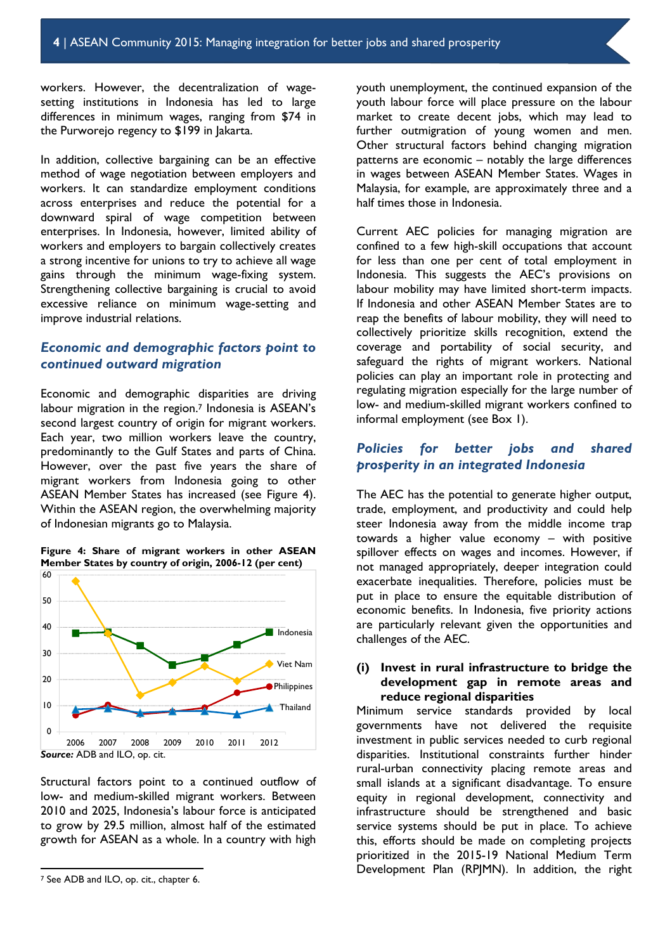workers. However, the decentralization of wagesetting institutions in Indonesia has led to large differences in minimum wages, ranging from \$74 in the Purworejo regency to \$199 in Jakarta.

In addition, collective bargaining can be an effective method of wage negotiation between employers and workers. It can standardize employment conditions across enterprises and reduce the potential for a downward spiral of wage competition between enterprises. In Indonesia, however, limited ability of workers and employers to bargain collectively creates a strong incentive for unions to try to achieve all wage gains through the minimum wage-fixing system. Strengthening collective bargaining is crucial to avoid excessive reliance on minimum wage-setting and improve industrial relations.

## *Economic and demographic factors point to continued outward migration*

Economic and demographic disparities are driving labour migration in the region.<sup>7</sup> Indonesia is ASEAN's second largest country of origin for migrant workers. Each year, two million workers leave the country, predominantly to the Gulf States and parts of China. However, over the past five years the share of migrant workers from Indonesia going to other ASEAN Member States has increased (see Figure 4). Within the ASEAN region, the overwhelming majority of Indonesian migrants go to Malaysia.





Structural factors point to a continued outflow of low- and medium-skilled migrant workers. Between 2010 and 2025, Indonesia's labour force is anticipated to grow by 29.5 million, almost half of the estimated growth for ASEAN as a whole. In a country with high

l

youth unemployment, the continued expansion of the youth labour force will place pressure on the labour market to create decent jobs, which may lead to further outmigration of young women and men. Other structural factors behind changing migration patterns are economic – notably the large differences in wages between ASEAN Member States. Wages in Malaysia, for example, are approximately three and a half times those in Indonesia.

Current AEC policies for managing migration are confined to a few high-skill occupations that account for less than one per cent of total employment in Indonesia. This suggests the AEC's provisions on labour mobility may have limited short-term impacts. If Indonesia and other ASEAN Member States are to reap the benefits of labour mobility, they will need to collectively prioritize skills recognition, extend the coverage and portability of social security, and safeguard the rights of migrant workers. National policies can play an important role in protecting and regulating migration especially for the large number of low- and medium-skilled migrant workers confined to informal employment (see Box 1).

# *Policies for better jobs and shared prosperity in an integrated Indonesia*

The AEC has the potential to generate higher output, trade, employment, and productivity and could help steer Indonesia away from the middle income trap towards a higher value economy – with positive spillover effects on wages and incomes. However, if not managed appropriately, deeper integration could exacerbate inequalities. Therefore, policies must be put in place to ensure the equitable distribution of economic benefits. In Indonesia, five priority actions are particularly relevant given the opportunities and challenges of the AEC.

## **(i) Invest in rural infrastructure to bridge the development gap in remote areas and reduce regional disparities**

Minimum service standards provided by local governments have not delivered the requisite investment in public services needed to curb regional disparities. Institutional constraints further hinder rural-urban connectivity placing remote areas and small islands at a significant disadvantage. To ensure equity in regional development, connectivity and infrastructure should be strengthened and basic service systems should be put in place. To achieve this, efforts should be made on completing projects prioritized in the 2015-19 National Medium Term Development Plan (RPJMN). In addition, the right

<sup>7</sup> See ADB and ILO, op. cit., chapter 6.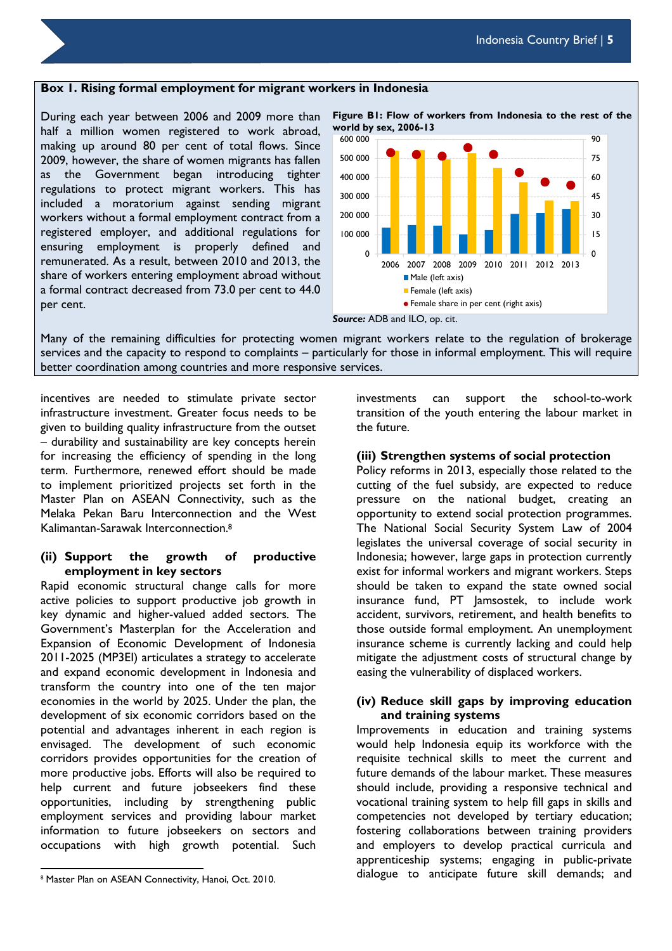#### **Box 1. Rising formal employment for migrant workers in Indonesia**

During each year between 2006 and 2009 more than half a million women registered to work abroad, making up around 80 per cent of total flows. Since 2009, however, the share of women migrants has fallen as the Government began introducing tighter regulations to protect migrant workers. This has included a moratorium against sending migrant workers without a formal employment contract from a registered employer, and additional regulations for ensuring employment is properly defined and remunerated. As a result, between 2010 and 2013, the share of workers entering employment abroad without a formal contract decreased from 73.0 per cent to 44.0 per cent.

**Figure B1: Flow of workers from Indonesia to the rest of the world by sex, 2006-13**   $\Omega$ 15 30 45 60 75 90  $\overline{0}$ 100 000 200 000 300 000 400 000 500 000 600 000 2006 2007 2008 2009 2010 2011 2012 2013 Male (left axis) Female (left axis) Female share in per cent (right axis)



Many of the remaining difficulties for protecting women migrant workers relate to the regulation of brokerage services and the capacity to respond to complaints – particularly for those in informal employment. This will require better coordination among countries and more responsive services.

incentives are needed to stimulate private sector infrastructure investment. Greater focus needs to be given to building quality infrastructure from the outset – durability and sustainability are key concepts herein for increasing the efficiency of spending in the long term. Furthermore, renewed effort should be made to implement prioritized projects set forth in the Master Plan on ASEAN Connectivity, such as the Melaka Pekan Baru Interconnection and the West Kalimantan-Sarawak Interconnection.<sup>8</sup>

## **(ii) Support the growth of productive employment in key sectors**

Rapid economic structural change calls for more active policies to support productive job growth in key dynamic and higher-valued added sectors. The Government's Masterplan for the Acceleration and Expansion of Economic Development of Indonesia 2011-2025 (MP3EI) articulates a strategy to accelerate and expand economic development in Indonesia and transform the country into one of the ten major economies in the world by 2025. Under the plan, the development of six economic corridors based on the potential and advantages inherent in each region is envisaged. The development of such economic corridors provides opportunities for the creation of more productive jobs. Efforts will also be required to help current and future jobseekers find these opportunities, including by strengthening public employment services and providing labour market information to future jobseekers on sectors and occupations with high growth potential. Such

l

investments can support the school-to-work transition of the youth entering the labour market in the future.

## **(iii) Strengthen systems of social protection**

Policy reforms in 2013, especially those related to the cutting of the fuel subsidy, are expected to reduce pressure on the national budget, creating an opportunity to extend social protection programmes. The National Social Security System Law of 2004 legislates the universal coverage of social security in Indonesia; however, large gaps in protection currently exist for informal workers and migrant workers. Steps should be taken to expand the state owned social insurance fund, PT Jamsostek, to include work accident, survivors, retirement, and health benefits to those outside formal employment. An unemployment insurance scheme is currently lacking and could help mitigate the adjustment costs of structural change by easing the vulnerability of displaced workers.

## **(iv) Reduce skill gaps by improving education and training systems**

Improvements in education and training systems would help Indonesia equip its workforce with the requisite technical skills to meet the current and future demands of the labour market. These measures should include, providing a responsive technical and vocational training system to help fill gaps in skills and competencies not developed by tertiary education; fostering collaborations between training providers and employers to develop practical curricula and apprenticeship systems; engaging in public-private dialogue to anticipate future skill demands; and

<sup>&</sup>lt;sup>8</sup> Master Plan on ASEAN Connectivity, Hanoi, Oct. 2010.